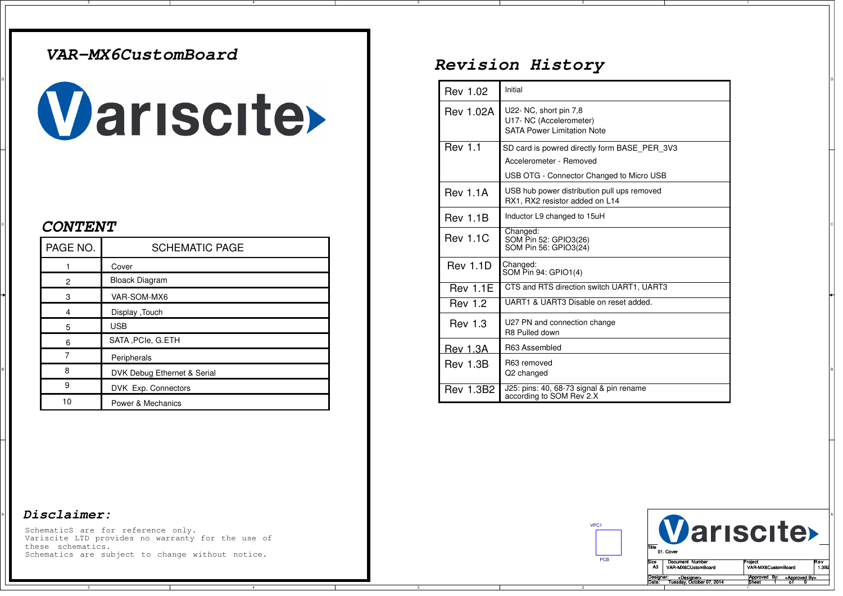### *VAR-MX6CustomBoard*

# **Variscite>**

#### *CONTENT*

| PAGE NO.             | <b>SCHEMATIC PAGE</b>       |
|----------------------|-----------------------------|
|                      | Cover                       |
| $\mathbf{2}^{\circ}$ | <b>Bloack Diagram</b>       |
| 3                    | VAR-SOM-MX6                 |
| 4                    | Display, Touch              |
| 5                    | <b>USB</b>                  |
| 6                    | SATA, PCIe, G.ETH           |
|                      | Peripherals                 |
| 8                    | DVK Debug Ethernet & Serial |
| 9                    | DVK Exp. Connectors         |
| 10                   | Power & Mechanics           |

#### <sup>A</sup> *Disclaimer:*

A

5

SchematicS are for reference only. Variscite LTD provides no warranty for the use ofthese schematics.Schematics are subject to change without notice.

## *Revision History*

|                       |                             |  | Rev 1.02         | Initial                                                                                |
|-----------------------|-----------------------------|--|------------------|----------------------------------------------------------------------------------------|
| Wariscite             |                             |  | <b>Rev 1.02A</b> | U22- NC, short pin 7,8<br>U17- NC (Accelerometer)<br><b>SATA Power Limitation Note</b> |
|                       |                             |  | <b>Rev 1.1</b>   | SD card is powred directly form BASE_PER_3V3                                           |
|                       |                             |  |                  | Accelerometer - Removed                                                                |
|                       |                             |  |                  | USB OTG - Connector Changed to Micro USB                                               |
|                       |                             |  | <b>Rev 1.1A</b>  | USB hub power distribution pull ups removed<br>RX1, RX2 resistor added on L14          |
| <i><b>CONTENT</b></i> |                             |  | <b>Rev 1.1B</b>  | Inductor L9 changed to 15uH                                                            |
| PAGE NO.              | <b>SCHEMATIC PAGE</b>       |  | <b>Rev 1.1C</b>  | Changed:<br>SOM Pin 52: GPIO3(26)<br>SOM Pin 56: GPIO3(24)                             |
|                       | Cover                       |  | <b>Rev 1.1D</b>  | Changed:                                                                               |
| $\overline{2}$        | <b>Bloack Diagram</b>       |  |                  | SOM Pin 94: GPIO1(4)                                                                   |
| 3                     | VAR-SOM-MX6                 |  | <b>Rev 1.1E</b>  | CTS and RTS direction switch UART1, UART3                                              |
| 4                     | Display , Touch             |  | <b>Rev 1.2</b>   | UART1 & UART3 Disable on reset added.                                                  |
| 5                     | <b>USB</b>                  |  | <b>Rev 1.3</b>   | U27 PN and connection change                                                           |
| 6                     | SATA, PCIe, G.ETH           |  |                  | R8 Pulled down                                                                         |
|                       | Peripherals                 |  | <b>Rev 1.3A</b>  | R63 Assembled                                                                          |
| 8                     | DVK Debug Ethernet & Serial |  | Rev 1.3B         | R63 removed<br>Q2 changed                                                              |
| 9                     | DVK Exp. Connectors         |  | <b>Rev 1.3B2</b> | J25: pins: 40, 68-73 signal & pin rename                                               |
| $\overline{a}$        |                             |  |                  | according to SOM Rev 2.X                                                               |

VPC1

PCB



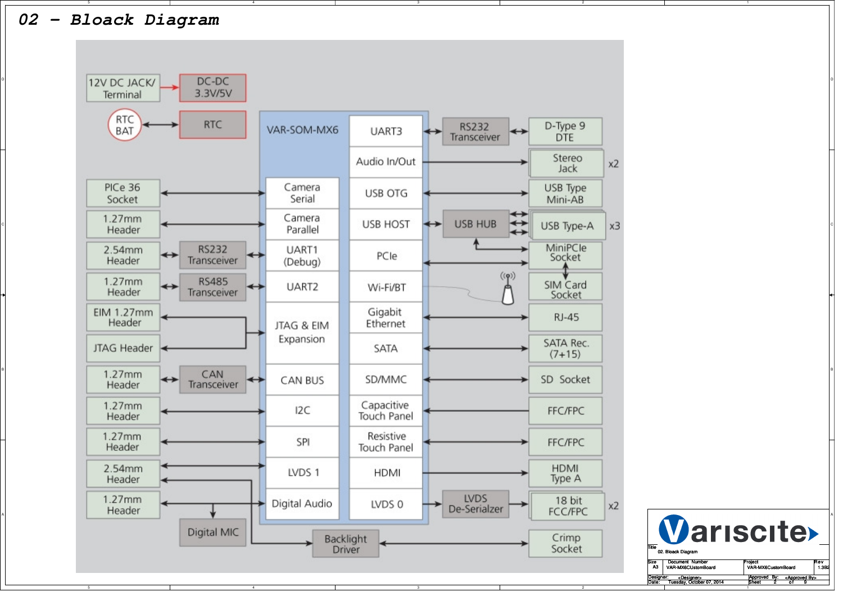

5

A



TitleSize<br>A3 e Document Number Project Rev<br>43 VAR-MX6CUstomBoard VAR-MX6CustomBoard 1.3B2 Date: Sheet <sup>o</sup> f Approved By: Tuesday, October 07, 2014<Designer><u>Desig</u> VAR-MX6CUstomBoard02. Bloack Diagram<u>4 Sheet 2 of 9</u> Approved By: <Approved B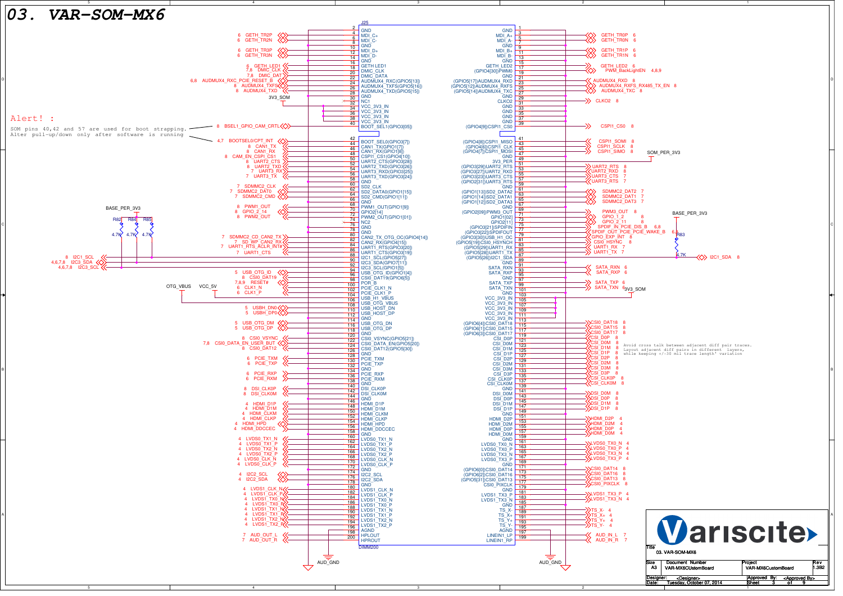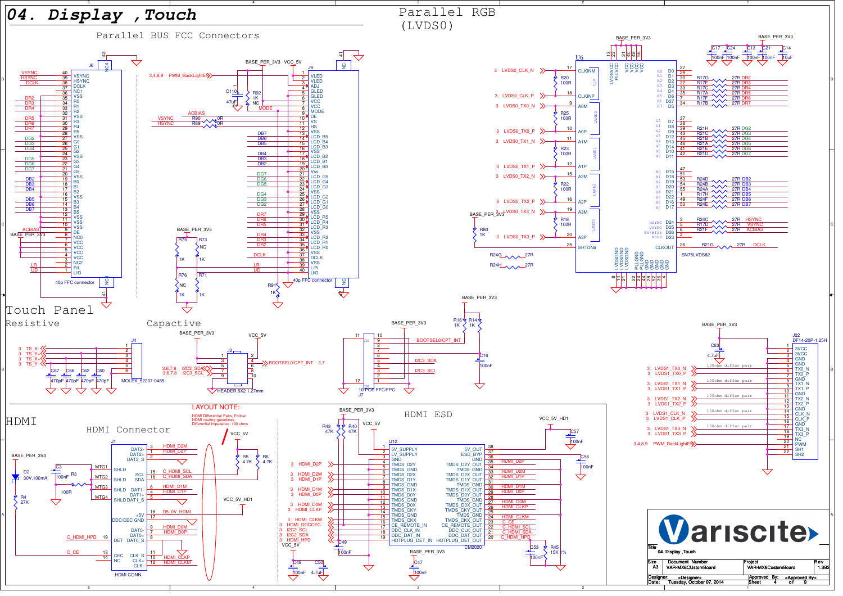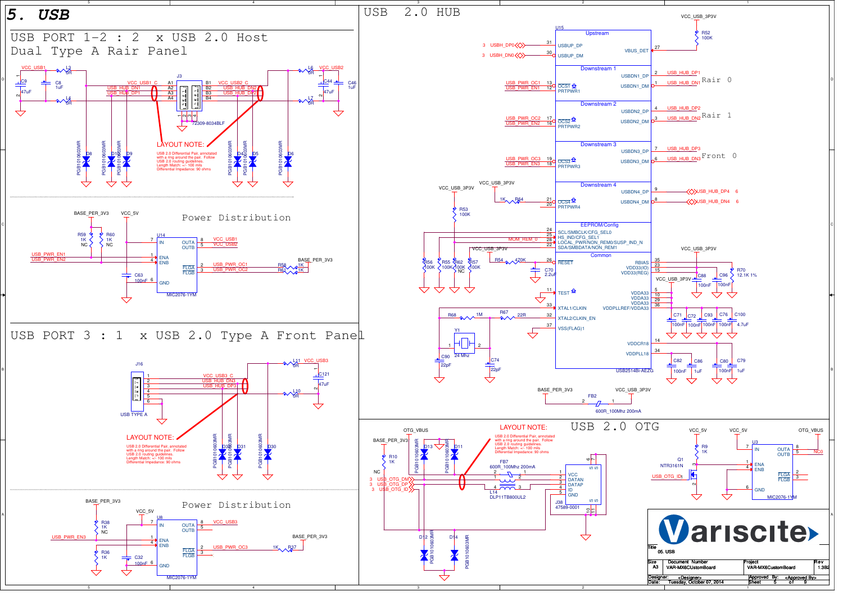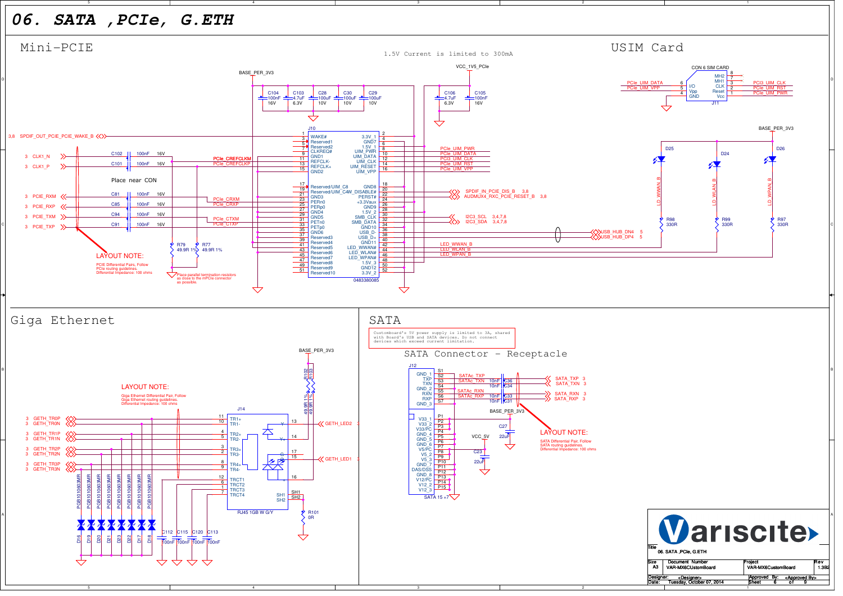## *06. SATA ,PCIe, G.ETH*

A

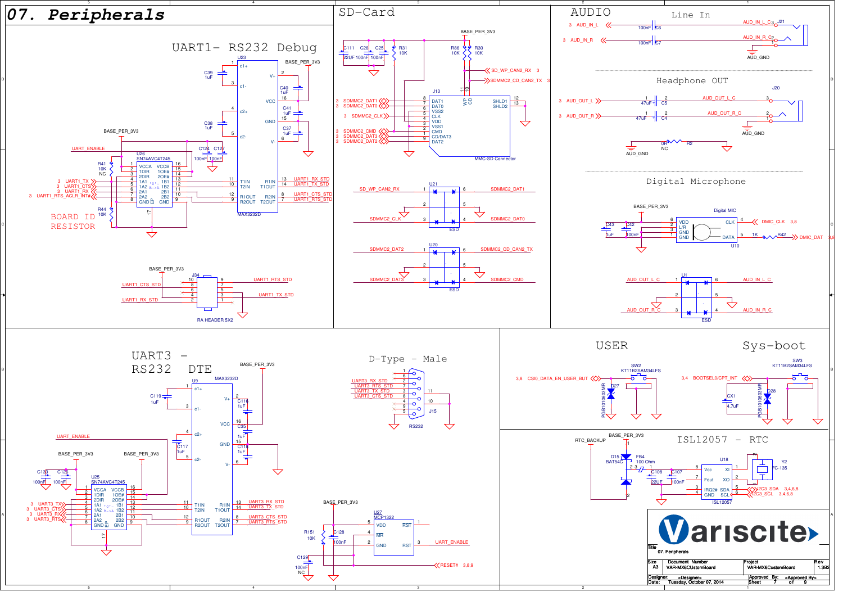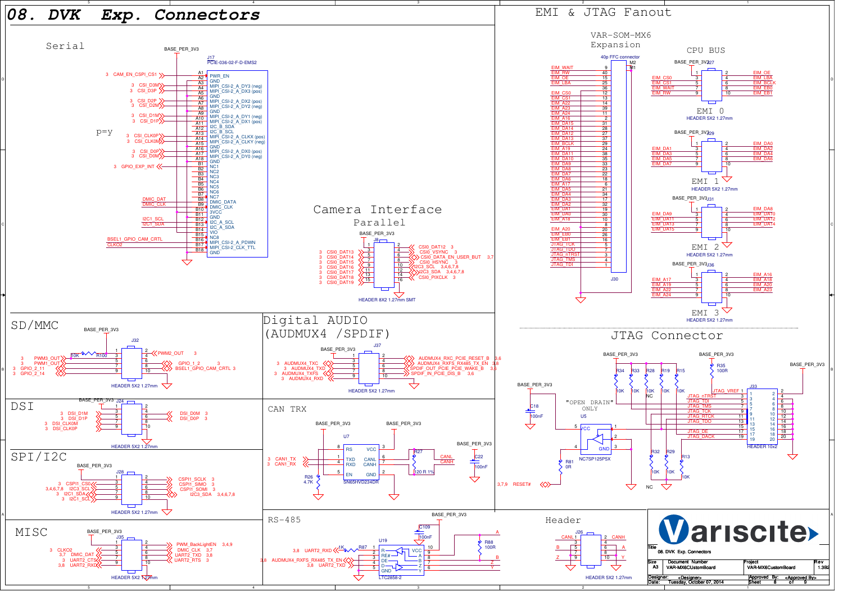